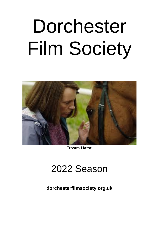# Dorchester Film Society



**Dream Horse**

## 2022 Season

**dorchesterfilmsociety.org.uk**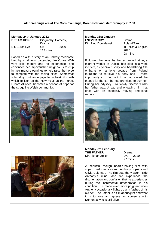#### **All Screenings are at The Corn Exchange, Dorchester and start promptly at 7.30**

**Monday 24th January 2022 DREAM HORSE** Biography, Comedy, Drama Dir. Euros Lyn UK 2020 113 mins

Based on a true story of an unlikely racehorse bred by small town bartender, Jan Vokes. With very little money and no experience, she convinces her impoverished neighbours to chip in their meagre earnings to help raise the horse to compete with the racing elites. Somewhat schmaltzy, but an enjoyable, upbeat film with which to kick off the New Year as the horse. Dream Alliance, becomes a beacon of hope for the struggling Welsh community.



**Monday 31st January I NEVER CRY** Drama Dir. Piotr Domalewski Poland/Eire

in Polish & English 2020 98 mins

Following the news that her estranged father, a migrant worker in Dublin, has died in a work incident, 17-year-old spiky and headstrong Ola embarks on a lone voyage from Poland to Ireland to retrieve his body and – more importantly - to find out if he had saved the money for the car, he had promised to buy her. During her odyssey, Ola slowly discovers who her father was. A sad and engaging film that ends with an especially moving emotional rupture.





97 mins

A beautiful though heart-breaking film with superb performances from Anthony Hopkins and Olivia Coleman. The film puts the viewer inside Anthony's mind, and we experience the disorientation and confusion that he experiences during the incremental deterioration in his condition. It is made even more poignant when Anthony occasionally lights up with flashes of his old self. The Father is a film about grief and what it is to love and grieve for someone with Dementia who is still alive.

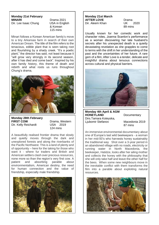### **Monday 21st February**

Dir. Lee Isaac Chung USA in English

**MINARI** Drama 2021 & Korean 115 mins

Minari follows a Korean American family's move to a tiny Arkansas farm in search of their own American Dream. The title of the film refers to the tenacious, edible plant that is seen taking root and flourishing by a shady creek. "It's a poetic plant," the director has said, not least because it "will grow very strongly in its second season, after it has died and come back". Inspired by his own family history, this theme of death and rebirth and what roots us runs throughout Chung's drama,



**Monday 28th February FIRST COW** Drama, Western Dir. Kelly Reichardt USA 2019

124 mins

A beautifully realised frontier drama that slowly and quietly moves through the dark and unexplored forests and along the riverbanks of the Pacific Northwest. This is a land of plenty and of opportunity – here for the taking for those who want it - where fur traders and British and American settlers clash over precious resources, none more so than the region's very first cow. A patient and absorbing parable about environmentalism, American destiny, the need for human connection and the value of friendship, especially male friendship.



#### **Monday 21st March AFTER LOVE** Drama<br>Dir. Aleem Khan UK Dir. Aleem Khan UK 2020

89 mins

Usually known for her comedic work and character roles, Joanna Scanlon's performance as a woman discovering her late husband's secrets after his unexpected death is a quietly devastating revelation as she grapples to come to terms with the shift in her understanding of the past and the uncertainties of her future. A rare gem of a film; After Love is a tender, delicate and insightful drama about tenuous connections across cultural and physical barriers.



**Monday 4th April & AGM HONEYLAND** Documentary Dirs.Tamara Koteyska, Ljubomir Stefanov Macedonia 2019

87 mins

An immersive environmental documentary about one of Europe's last wild beekeepers - a woman in her mid-50's who harvests honey sustainably the traditional way Shot over a 3-year period in an abandoned village with no roads, electricity or running water in North Macedonia, the beekeeper, Hatidze, looks after her ailing mother and collects the honey with the philosophy that she will only take half and leave the other half for the bees. When some new neighbours move in the inevitable conflict with them transforms the film into a parable about exploiting natural resources.